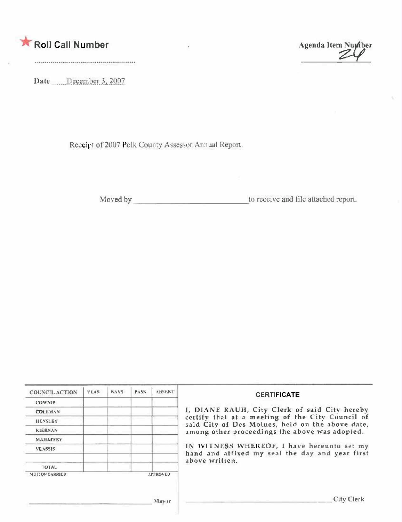|  |  |  | Roll Call Number |  |
|--|--|--|------------------|--|
|--|--|--|------------------|--|

Agenda Item Number  $\mathcal{Z}$ 

Date December 3, 2007

Receipt of 2007 Polk County Assessor Annual Report.

to receive and file attached report.

| <b>COUNCIL ACTION</b> | <b>YEAS</b> | NAYS: | PASS. | <b>ABSENT</b>   | <b>CERTIFICATE</b>                                                                                              |  |
|-----------------------|-------------|-------|-------|-----------------|-----------------------------------------------------------------------------------------------------------------|--|
| <b>COWNIE</b>         |             |       |       |                 |                                                                                                                 |  |
| <b>COLEMAN</b>        |             |       |       |                 | I, DIANE RAUH, City Clerk of said City hereby                                                                   |  |
| <b>HENSLEY</b>        |             |       |       |                 | certify that at a meeting of the City Council of<br>said City of Des Moines, held on the above date,            |  |
| <b>KIERNAN</b>        |             |       |       |                 | among other proceedings the above was adopted.                                                                  |  |
| <b>MAHAFFEY</b>       |             |       |       |                 | IN WITNESS WHEREOF, I have hereunto set my<br>hand and affixed my seal the day and year first<br>above written. |  |
| <b>VLASSIS</b>        |             |       |       |                 |                                                                                                                 |  |
|                       |             |       |       |                 |                                                                                                                 |  |
| <b>TOTAL</b>          |             |       |       |                 |                                                                                                                 |  |
| <b>MOTION CARRIED</b> |             |       |       | <b>APPROVED</b> |                                                                                                                 |  |
|                       |             |       |       |                 |                                                                                                                 |  |
|                       |             |       |       | Massism         | City Clerk                                                                                                      |  |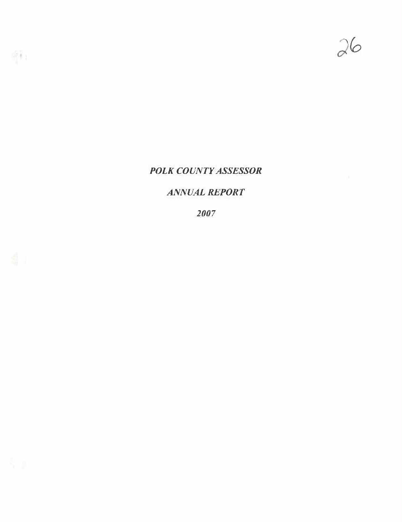

# POLK COUNTY ASSESSOR

# ANIVUAL REPORT

2007

晚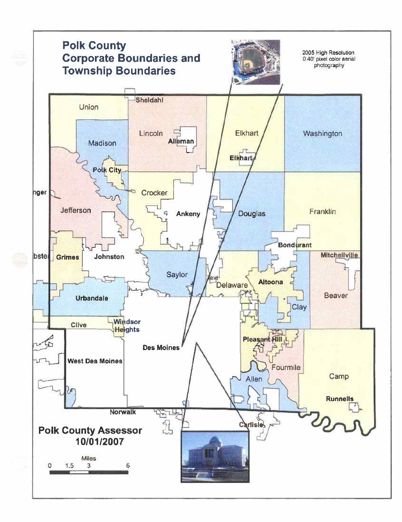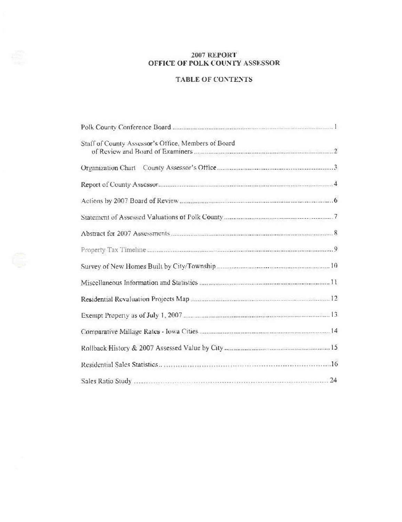## **2007 REPORT** OFFICE OF POLK COUNTY ASSESSOR

## **TABLE OF CONTENTS**

| Staff of County Assessor's Office, Members of Board |
|-----------------------------------------------------|
|                                                     |
|                                                     |
|                                                     |
|                                                     |
|                                                     |
|                                                     |
|                                                     |
|                                                     |
|                                                     |
|                                                     |
|                                                     |
|                                                     |
|                                                     |
|                                                     |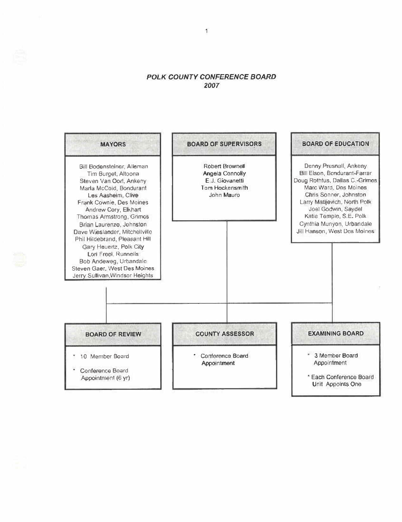## POLK COUNTY CONFERENCE BOARD 2007

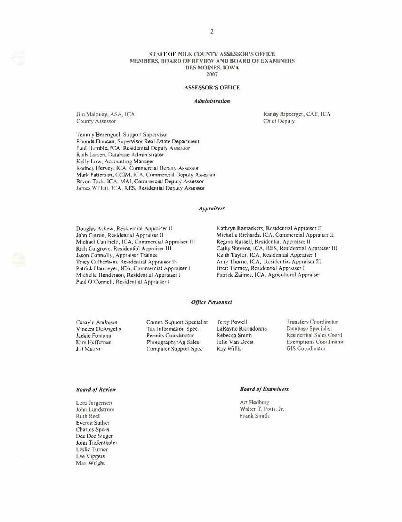#### STAFF OF POLK COUNTY ASSESSOR'S OFFICE MEMBERS, BOARD OF REVIEW AND BOARD OF EXAMINERS DES MOINES, IOWA 2007

### **ASSESSOR'S OFFICE**

#### Administration

Jim Maloney, ASA, ICA County Assessor

Randy Ripperger, CAE, ICA Chief Deputy

Tammy Berenguel, Support Supervisor Rhonda Duncan, Supervisor Real Estate Department Paul Humble, ICA, Residential Deputy Assessor Ruth Lansen, Database Administrator Kelly Low, Accounting Manager Rodney Hervey, ICA, Commercial Deputy Assessor Mark Patterson, CCIM. ICA, Commercial Deputy Assessor Bryon Tack, ICA. MAI, Commercial Deputy Assessor James Willett, ICA, RES, Residential Deputy Assessor

#### **Appraisers**

Douglas Askew, Residential Appraiser II John Catron, Residential Appraiser II Michael Caulfield, ICA, Commercial Appraiser III Rich Colgrove, Residential Appraiser III Jason Connolly, Appraiser Trainee Tracy Culhertson, Residential Appraiser III Patrick Harmeyer, ICA, Commercial Appraiser I Michelle Henderson, Residential Appraiser I Paul O'Connell, Residential Appraiser I

Kathryn Ramackers, Residential Appraiser II Michelle Richards, ICA, Commercial Appraiser II Regina Russell, Residential Appraiser II Cathy Stevens, ICA, RES, Residential Appraiser III Keith Taylor, ICA, Residential Appraiser I Amy Thorne, ICA, Residential Appraiser III Brett Tierney, Residential Appraiser I Patrick Zaimes, ICA. Agricultural Appraiser

### **Office Personnel**

Carovic Andrews Vincent DeAngelis Jackie Fontana Kim Heffernan Ji'l Mauro

Comm. Support Specialist Tax Information Spec. Permits Coordinator Photography/Ag Sales Computer Support Spec

Terry Powell LaRayne Riccadonna Rebecca Smith Julie Van Deest Ray Willis

**Transfers Coordinator** Database Specialist Residential Sales Courd **Exemptions Coordinator** GIS Coordinator

#### **Board of Review**

Lora Jorgensen John Lundstrom Ruth Reel **Everett Sather** Charles Speas Dee Dee Steger John Tiefenthaler Leslic Turner Lee Viggers Max Wright

## **Board of Examiners**

Art Hedberg Walter T. Potts, Jr. Frank Smith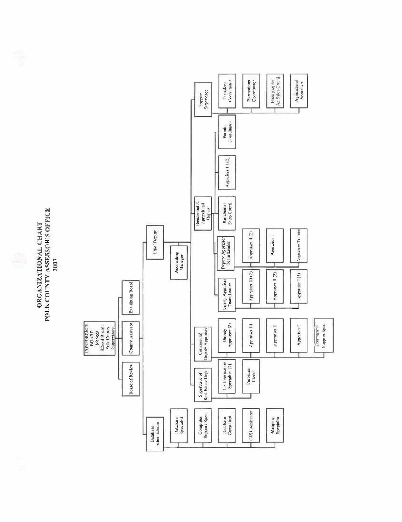POLK COUNTY ASSESSOR'S OFFICE ORGANIZATIONAL CHART 2007

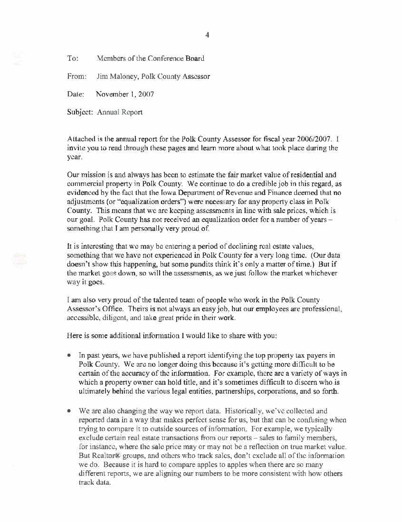To: Members of the Conference Board

From: Jim Maloney, Polk County Assessor

Date: November 1, 2007

Subject: Annual Report

Attached is the annual report for the Polk County Assessor for fiscal year 2006/2007. I invite you to read through these pages and learn more about what took place during the vear.

Our mission is and always has been to estimate the fair market value of residential and commercial property in Polk County. We continue to do a credible job in this regard, as evidenced by the fact that the Iowa Department of Revenue and Finance deemed that no adjustments (or "equalization orders") were necessary for any property class in Polk County. This means that we are keeping assessments in line with sale prices, which is our goal. Polk County has not received an equalization order for a number of years something that I am personally very proud of.

It is interesting that we may be entering a period of declining real estate values, something that we have not experienced in Polk County for a very long time. (Our data doesn't show this happening, but some pundits think it's only a matter of time.) But if the market goes down, so will the assessments, as we just follow the market whichever way it goes.

I am also very proud of the talented team of people who work in the Polk County Assessor's Office. Theirs is not always an easy job, but our employees are professional, accessible, diligent, and take great pride in their work.

Here is some additional information I would like to share with you:

- In past years, we have published a report identifying the top property tax payers in  $\bullet$ Polk County. We are no longer doing this because it's getting more difficult to be certain of the accuracy of the information. For example, there are a variety of ways in which a property owner can hold title, and it's sometimes difficult to discern who is ultimately behind the various legal entities, partnerships, corporations, and so forth.
- We are also changing the way we report data. Historically, we've collected and reported data in a way that makes perfect sense for us, but that can be confusing when trying to compare it to outside sources of information. For example, we typically exclude certain real estate transactions from our reports – sales to family members, for instance, where the sale price may or may not be a reflection on true market value. But Realtor® groups, and others who track sales, don't exclude all of the information we do. Because it is hard to compare apples to apples when there are so many different reports, we are aligning our numbers to be more consistent with how others track data.